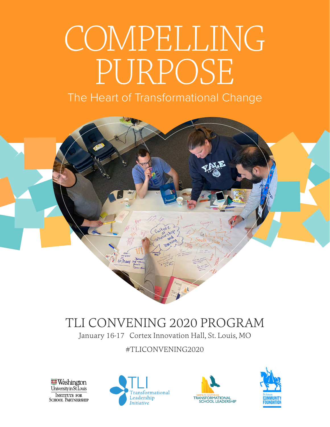# COMPELLING PURPOSE

# The Heart of Transformational Change



# TLI CONVENING 2020 PROGRAM

January 16-17 Cortex Innovation Hall, St. Louis, MO

#TLICONVENING2020

**Washington** University in St. Louis **INSTITUTE FOR SCHOOL PARTNERSHIP** 





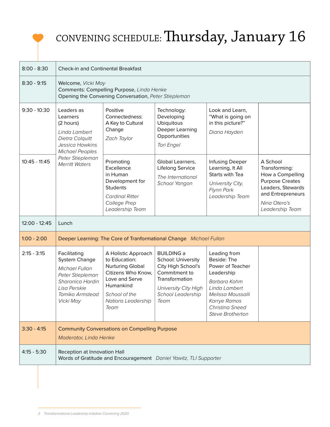# CONVENING SCHEDULE: Thursday, January 16

| $8:00 - 8:30$   | <b>Check-in and Continental Breakfast</b>                                                                                                                         |                                                                                                                                                                     |                                                                                                                                                       |                                                                                                                                                                                   |                                                                                                                                                      |  |  |
|-----------------|-------------------------------------------------------------------------------------------------------------------------------------------------------------------|---------------------------------------------------------------------------------------------------------------------------------------------------------------------|-------------------------------------------------------------------------------------------------------------------------------------------------------|-----------------------------------------------------------------------------------------------------------------------------------------------------------------------------------|------------------------------------------------------------------------------------------------------------------------------------------------------|--|--|
| $8:30 - 9:15$   | Welcome, Vicki May<br>Comments: Compelling Purpose, Linda Henke<br>Opening the Convening Conversation, Peter Stiepleman                                           |                                                                                                                                                                     |                                                                                                                                                       |                                                                                                                                                                                   |                                                                                                                                                      |  |  |
| $9:30 - 10:30$  | Leaders as<br>Learners<br>(2 hours)<br>Linda Lambert<br>Dietra Colquitt<br>Jessica Hawkins<br><b>Michael Peoples</b><br>Peter Stiepleman<br><b>Merritt Waters</b> | Positive<br>Connectedness:<br>A Key to Cultural<br>Change<br>Zach Taylor                                                                                            | Technology:<br>Developing<br><b>Ubiquitous</b><br>Deeper Learning<br>Opportunities<br>Tori Engel                                                      | Look and Learn,<br>"What is going on<br>in this picture?"<br>Diana Hayden                                                                                                         |                                                                                                                                                      |  |  |
| $10:45 - 11:45$ |                                                                                                                                                                   | Promoting<br>Excellence<br>in Human<br>Development for<br><b>Students</b><br><b>Cardinal Ritter</b><br>College Prep<br>Leadership Team                              | Global Learners,<br>Lifelong Service<br>The International<br>School Yangon                                                                            | Infusing Deeper<br>Learning, It All<br>Starts with Tea<br>University City,<br>Flynn Park<br>Leadership Team                                                                       | A School<br>Transforming:<br>How a Compelling<br><b>Purpose Creates</b><br>Leaders, Stewards<br>and Entrepreneurs<br>Nina Otero's<br>Leadership Team |  |  |
| 12:00 - 12:45   | Lunch                                                                                                                                                             |                                                                                                                                                                     |                                                                                                                                                       |                                                                                                                                                                                   |                                                                                                                                                      |  |  |
| $1:00 - 2:00$   | Deeper Learning: The Core of Tranformational Change Michael Fullan                                                                                                |                                                                                                                                                                     |                                                                                                                                                       |                                                                                                                                                                                   |                                                                                                                                                      |  |  |
| $2:15 - 3:15$   | Facilitating<br><b>System Change</b><br>Michael Fullan<br>Peter Stiepleman<br>Sharonica Hardin<br>Lisa Perskie<br>Tamiko Armstead<br><b>Vicki May</b>             | A Holistic Approach<br>to Education:<br><b>Nurturing Global</b><br>Citizens Who Know,<br>Love and Serve<br>Humankind<br>School of the<br>Nations Leadership<br>Team | <b>BUILDING a</b><br>School: University<br>City High School's<br>Commitment to<br>Transformation<br>University City High<br>School Leadership<br>Team | Leading from<br>Beside: The<br>Power of Teacher<br>Leadership<br>Barbara Kohm<br>Linda Lambert<br>Melissa Moussalli<br>Karrye Ramos<br>Christina Sneed<br><b>Steve Brotherton</b> |                                                                                                                                                      |  |  |
| $3:30 - 4:15$   | <b>Community Conversations on Compelling Purpose</b><br>Moderator, Linda Henke                                                                                    |                                                                                                                                                                     |                                                                                                                                                       |                                                                                                                                                                                   |                                                                                                                                                      |  |  |
| $4:15 - 5:30$   | Reception at Innovation Hall<br>Words of Gratitude and Encouragement Daniel Yawitz, TLI Supporter                                                                 |                                                                                                                                                                     |                                                                                                                                                       |                                                                                                                                                                                   |                                                                                                                                                      |  |  |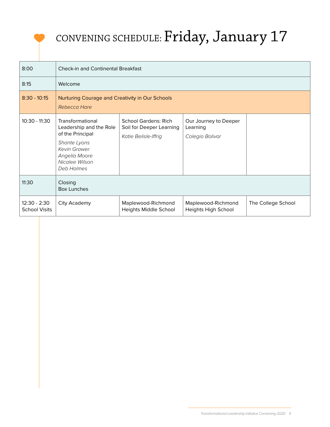# CONVENING SCHEDULE: Friday, January 17

| 8:00                                 | <b>Check-in and Continental Breakfast</b>                                                                                                        |                                                                                 |                                                      |                    |  |  |  |  |
|--------------------------------------|--------------------------------------------------------------------------------------------------------------------------------------------------|---------------------------------------------------------------------------------|------------------------------------------------------|--------------------|--|--|--|--|
| 8:15                                 | Welcome                                                                                                                                          |                                                                                 |                                                      |                    |  |  |  |  |
| $8:30 - 10:15$                       | Nurturing Courage and Creativity in Our Schools<br>Rebecca Hare                                                                                  |                                                                                 |                                                      |                    |  |  |  |  |
| 10:30 - 11:30                        | Transformational<br>Leadership and the Role<br>of the Principal<br>Shante Lyons<br>Kevin Grawer<br>Angelia Moore<br>Nicalee Wilson<br>Deb Holmes | <b>School Gardens: Rich</b><br>Soil for Deeper Learning<br>Katie Belisle-Iffrig | Our Journey to Deeper<br>Learning<br>Colegio Bolivar |                    |  |  |  |  |
| 11:30                                | Closing<br><b>Box Lunches</b>                                                                                                                    |                                                                                 |                                                      |                    |  |  |  |  |
| 12:30 - 2:30<br><b>School Visits</b> | City Academy                                                                                                                                     | Maplewood-Richmond<br>Heights Middle School                                     | Maplewood-Richmond<br>Heights High School            | The College School |  |  |  |  |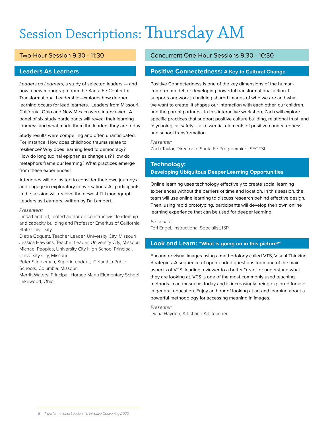# Session Descriptions: Thursday AM

# Two-Hour Session 9:30 - 11:30

### **Leaders As Learners**

*Leaders as Learners*, a study of selected leaders — and now a new monograph from the Santa Fe Center for Transformational Leadership--explores how deeper learning occurs for lead learners. Leaders from Missouri, California, Ohio and New Mexico were interviewed. A panel of six study participants will reveal their learning journeys and what made them the leaders they are today.

Study results were compelling and often unanticipated. For instance: How does childhood trauma relate to resilience? Why does learning lead to democracy? How do longitudinal epiphanies change us? How do metaphors frame our learning? What practices emerge from these experiences?

Attendees will be invited to consider their own journeys and engage in exploratory conversations. All participants in the session will receive the newest TLI monograph Leaders as Learners, written by Dr. Lambert.

#### *Presenters:*

Linda Lambert, noted author on constructivist leadership and capacity building and Professor Emeritus of California State University

Dietra Coquett, Teacher Leader, University City, Missouri Jessica Hawkins, Teacher Leader, University City, Missouri Michael Peoples, University City High School Principal, University City, Missouri

Peter Stiepleman, Superintendent, Columbia Public Schools, Columbia, Missouri

Merritt Waters, Principal, Horace Mann Elementary School, Lakewood, Ohio

# Concurrent One-Hour Sessions 9:30 - 10:30

# **Positive Connectedness: A Key to Cultural Change**

Positive Connectedness is one of the key dimensions of the humancentered model for developing powerful transformational action. It supports our work in building shared images of who we are and what we want to create. It shapes our interaction with each other, our children, and the parent partners. In this interactive workshop, Zach will explore specific practices that support positive culture building, relational trust, and psychological safety – all essential elements of positive connectedness and school transformation.

*Presenter:*

Zach Taylor, Director of Santa Fe Programming, SFCTSL

# **Technology: Developing Ubiquitous Deeper Learning Opportunities**

Online learning uses technology effectively to create social learning experiences without the barriers of time and location. In this session, the team will use online learning to discuss research behind effective design. Then, using rapid prototyping, participants will develop their own online learning experience that can be used for deeper learning.

*Presenter:*  Tori Engel, Instructional Specialist, ISP

### **Look and Learn: "What is going on in this picture?"**

Encounter visual images using a methodology called VTS, Visual Thinking Strategies. A sequence of open-ended questions form one of the main aspects of VTS, leading a viewer to a better "read" or understand what they are looking at. VTS is one of the most commonly used teaching methods in art museums today and is increasingly being explored for use in general education. Enjoy an hour of looking at art and learning about a powerful methodology for accessing meaning in images.

*Presenter:* Diana Hayden, Artist and Art Teacher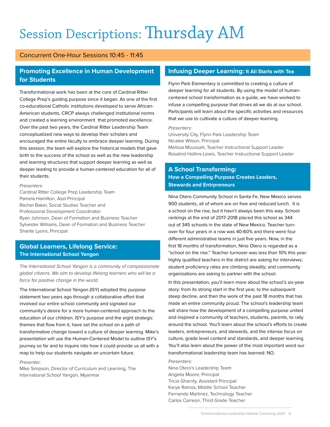# Session Descriptions: Thursday AM

## Concurrent One-Hour Sessions 10:45 - 11:45

# **Promoting Excellence in Human Development for Students**

Transformational work has been at the core of Cardinal Ritter College Prep's guiding purpose since it began. As one of the first co-educational Catholic institutions developed to serve African-American students, CRCP always challenged institutional norms and created a learning environment that promoted excellence. Over the past two years, the Cardinal Ritter Leadership Team conceptualized new ways to develop their scholars and encouraged the entire faculty to embrace deeper learning. During this session, the team will explore the historical models that gave birth to the success of the school as well as the new leadership and learning structures that support deeper learning as well as deeper leading to provide a human-centered education for all of their students.

#### *Presenters:*

Cardinal Ritter College Prep Leadership Team Pamela Hamilton, Asst Principal Rachel Baker, Social Studies Teacher and Professional Development Coordinator Ryan Johnson, Dean of Formation and Business Teacher Sylvester Williams, Dean of Formation and Business Teacher Shante Lyons, Principal

# **Global Learners, Lifelong Service: The International School Yangon**

*The International School Yangon is a community of compassionate global citizens. We aim to develop lifelong learners who will be a force for positive change in the world.*

The International School Yangon (ISY) adopted this purpose statement two years ago through a collaborative effort that involved our entire school community and signaled our community's desire for a more human-centered approach to the education of our children. ISY's purpose and the eight strategic themes that flow from it, have set the school on a path of transformative change toward a culture of deeper learning. Mike's presentation will use the Human-Centered Model to outline ISY's journey so far and to inquire into how it could provide us all with a map to help our students navigate an uncertain future.

#### *Presenter:*

Mike Simpson, Director of Curriculum and Learning, The International School Yangon, Myanmar

### **Infusing Deeper Learning: It All Starts with Tea**

Flynn Park Elementary is committed to creating a culture of deeper learning for all students. By using the model of humancentered school transformation as a guide, we have worked to infuse a compelling purpose that drives all we do at our school. Participants will learn about the specific activities and resources that we use to cultivate a culture of deeper learning.

#### *Presenters:*

University City, Flynn Park Leadership Team Nicalee Wilson, Principal Melissa Moussalli, Teacher Instructional Support Leader Rosalind Hollins-Lewis, Teacher Instructional Support Leader

# **A School Transforming: How a Compelling Purpose Creates Leaders, Stewards and Entrpreneurs**

Nina Otero Community School in Santa Fe, New Mexico serves 900 students, all of whom are on free and reduced lunch. It is a school on the rise, but it hasn't always been this way. School rankings at the end of 2017-2018 placed this school as 344 out of 345 schools in the state of New Mexico. Teacher turnover for four years in a row was 40-60% and there were four different administrative teams in just five years. Now, in the first 18 months of transformation, Nino Otero is regarded as a "school on the rise." Teacher turnover was less than 10% this year: highly qualified teachers in the district are asking for interviews; student proficiency rates are climbing steadily; and community organizations are asking to partner with the school.

In this presentation, you'll learn more about the school's six-year story: from its strong start in the first year, to the subsequent steep decline, and then the work of the past 18 months that has made an entire community proud. The school's leadership team will share how the development of a compelling purpose united and inspired a community of teachers, students, parents, to rally around the school. You'll learn about the school's efforts to create leaders, entrepreneurs, and stewards, and the intense focus on culture, grade level content and standards, and deeper learning. You'll also learn about the power of the most important word our transformational leadership team has learned: NO.

#### *Presenters:*

Nina Otero's Leadership Team Angelia Moore, Principal Tricia Gharrity, Assistant Principal Karye Ramos, Middle School Teacher Fernando Martinez, Technology Teacher Carlos Carreon, Third Grade Teacher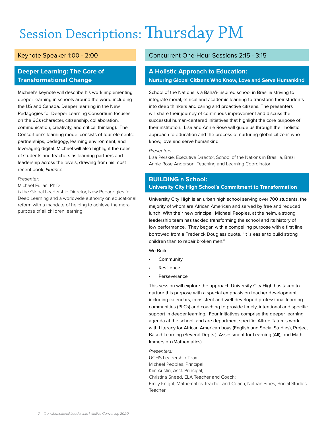# Session Descriptions: Thursday PM

# Keynote Speaker 1:00 - 2:00

# **Deeper Learning: The Core of Transformational Change**

Michael's keynote will describe his work implementing deeper learning in schools around the world including the US and Canada. Deeper learning in the New Pedagogies for Deeper Learning Consortium focuses on the 6Cs (character, citizenship, collaboration, communication, creativity, and critical thinking). The Consortium's learning model consists of four elements: partnerships, pedagogy, learning environment, and leveraging digital. Michael will also highlight the roles of students and teachers as learning partners and leadership across the levels, drawing from his most recent book, *Nuance*.

#### *Presenter:*

#### Michael Fullan, Ph.D

is the Global Leadership Director, New Pedagogies for Deep Learning and a worldwide authority on educational reform with a mandate of helping to achieve the moral purpose of all children learning.

### Concurrent One-Hour Sessions 2:15 - 3:15

# **A Holistic Approach to Education: Nurturing Global Citizens Who Know, Love and Serve Humankind**

School of the Nations is a Baha'i-inspired school in Brasilia striving to integrate moral, ethical and academic learning to transform their students into deep thinkers and caring and proactive citizens. The presenters will share their journey of continuous improvement and discuss the successful human-centered initiatives that highlight the core purpose of their institution. Lisa and Annie Rose will guide us through their holistic approach to education and the process of nurturing global citizens who know, love and serve humankind.

#### *Presenters:*

Lisa Perskie, Executive Director, School of the Nations in Brasilia, Brazil Annie Rose Anderson, Teaching and Learning Coordinator

## **BUILDING a School: University City High School's Commitment to Transformation**

University City High is an urban high school serving over 700 students, the majority of whom are African American and served by free and reduced lunch. With their new principal, Michael Peoples, at the helm, a strong leadership team has tackled transforming the school and its history of low performance. They began with a compelling purpose with a first line borrowed from a Frederick Douglass quote, "It is easier to build strong children than to repair broken men."

We Build…

- **Community**
- **Resilience**
- **Perseverance**

This session will explore the approach University City High has taken to nurture this purpose with a special emphasis on teacher development including calendars, consistent and well-developed professional learning communities (PLCs) and coaching to provide timely, intentional and specific support in deeper learning. Four initiatives comprise the deeper learning agenda at the school, and are department specific: Alfred Tatum's work with Literacy for African American boys (English and Social Studies), Project Based Learning (Several Depts.), Assessment for Learning (All), and Math Immersion (Mathematics).

#### *Presenters:*

UCHS Leadership Team: Michael Peoples, Principal; Kim Austin, Asst. Principal; Christina Sneed, ELA Teacher and Coach; Emily Knight, Mathematics Teacher and Coach; Nathan Pipes, Social Studies Teacher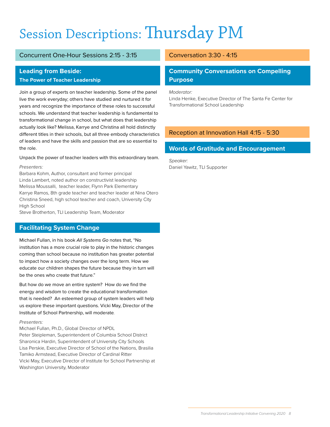# Session Descriptions: Thursday PM

# Concurrent One-Hour Sessions 2:15 - 3:15

## **Leading from Beside:**

### **The Power of Teacher Leadership**

Join a group of experts on teacher leadership. Some of the panel live the work everyday; others have studied and nurtured it for years and recognize the importance of these roles to successful schools. We understand that teacher leadership is fundamental to transformational change in school, but what does that leadership actually look like? Melissa, Karrye and Christina all hold distinctly different titles in their schools, but all three embody characteristics of leaders and have the skills and passion that are so essential to the role.

#### Unpack the power of teacher leaders with this extraordinary team.

#### *Presenters:*

Barbara Kohm, Author, consultant and former principal Linda Lambert, noted author on constructivist leadership Melissa Moussalli, teacher leader, Flynn Park Elementary Karrye Ramos, 8th grade teacher and teacher leader at Nina Otero Christina Sneed, high school teacher and coach, University City High School

Steve Brotherton, TLI Leadership Team, Moderator

# **Facilitating System Change**

Michael Fullan, in his book *All Systems Go* notes that, "No institution has a more crucial role to play in the historic changes coming than school because no institution has greater potential to impact how a society changes over the long term. How we educate our children shapes the future because they in turn will be the ones who create that future."

But how do we move an entire system? How do we find the energy and wisdom to create the educational transformation that is needed? An esteemed group of system leaders will help us explore these important questions. Vicki May, Director of the Institute of School Partnership, will moderate*.*

#### *Presenters:*

Michael Fullan, Ph.D., Global Director of NPDL Peter Steipleman, Superintendent of Columbia School District Sharonica Hardin, Superintendent of University City Schools Lisa Perskie, Executive Director of School of the Nations, Brasilia Tamiko Armstead, Executive Director of Cardinal Ritter Vicki May, Executive Director of Institute for School Partnership at Washington University, Moderator

# Conversation 3:30 - 4:15

# **Community Conversations on Compelling Purpose**

*Moderator:*

Linda Henke, Executive Director of The Santa Fe Center for Transformational School Leadership

# Reception at Innovation Hall 4:15 - 5:30

# **Words of Gratitude and Encouragement**

*Speaker:* Daniel Yawitz, TLI Supporter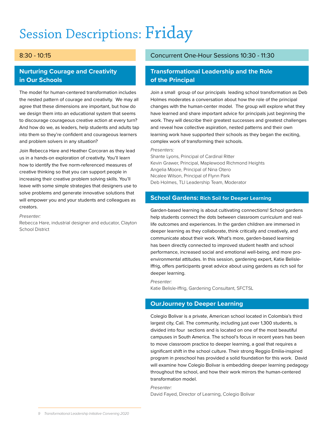# Session Descriptions: Friday

# 8:30 - 10:15

# **Nurturing Courage and Creativity in Our Schools**

The model for human-centered transformation includes the nested pattern of courage and creativity. We may all agree that these dimensions are important, but how do we design them into an educational system that seems to discourage courageous creative action at every turn? And how do we, as leaders, help students and adults tap into them so they're confident and courageous learners and problem solvers in any situation?

Join Rebecca Hare and Heather Corcoran as they lead us in a hands-on exploration of creativity. You'll learn how to identify the five norm-referenced measures of creative thinking so that you can support people in increasing their creative problem solving skills. You'll leave with some simple strategies that designers use to solve problems and generate innovative solutions that will empower you and your students and colleagues as creators.

*Presenter:*

Rebecca Hare, industrial designer and educator, Clayton School District

# Concurrent One-Hour Sessions 10:30 - 11:30

# **Transformational Leadership and the Role of the Principal**

Join a small group of our principals leading school transformation as Deb Holmes moderates a conversation about how the role of the principal changes with the human-center model. The group will explore what they have learned and share important advice for principals just beginning the work. They will describe their greatest successes and greatest challenges and reveal how collective aspiration, nested patterns and their own learning work have supported their schools as they began the exciting, complex work of transforming their schools.

#### *Presenters:*

Shante Lyons, Principal of Cardinal Ritter Kevin Grawer, Principal, Maplewood Richmond Heights Angelia Moore, Principal of Nina Otero Nicalee Wilson, Principal of Flynn Park Deb Holmes, TLI Leadership Team, Moderator

### **School Gardens: Rich Soil for Deeper Learning**

Garden-based learning is about cultivating connections! School gardens help students connect the dots between classroom curriculum and reallife outcomes and experiences. In the garden children are immersed in deeper learning as they collaborate, think critically and creatively, and communicate about their work. What's more, garden-based learning has been directly connected to improved student health and school performance, increased social and emotional well-being, and more proenvironmental attitudes. In this session, gardening expert, Katie Belisle-Iffrig, offers participants great advice about using gardens as rich soil for deeper learning.

*Presenter:* 

Katie Belisle-Iffrig, Gardening Consultant, SFCTSL

# **OurJourney to Deeper Learning**

Colegio Bolivar is a private, American school located in Colombia's third largest city, Cali. The community, including just over 1,300 students, is divided into four sections and is located on one of the most beautiful campuses in South America. The school's focus in recent years has been to move classroom practice to deeper learning, a goal that requires a significant shift in the school culture. Their strong Reggio Emilia-inspired program in preschool has provided a solid foundation for this work. David will examine how Colegio Bolivar is embedding deeper learning pedagogy throughout the school, and how their work mirrors the human-centered transformation model.

*Presenter:*

David Fayed, Director of Learning, Colegio Bolivar